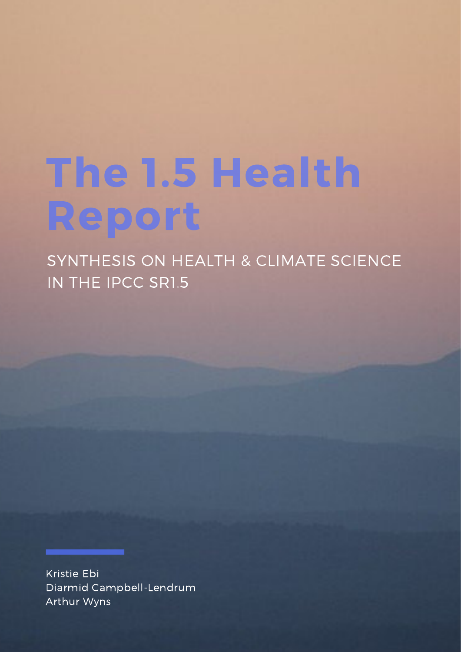# The 1.5 Health Report

SYNTHESIS ON HEALTH & CLIMATE SCIENCE IN THE IPCC SR1.5

Kristie Ebi Diarmid Campbell-Lendrum Arthur Wyns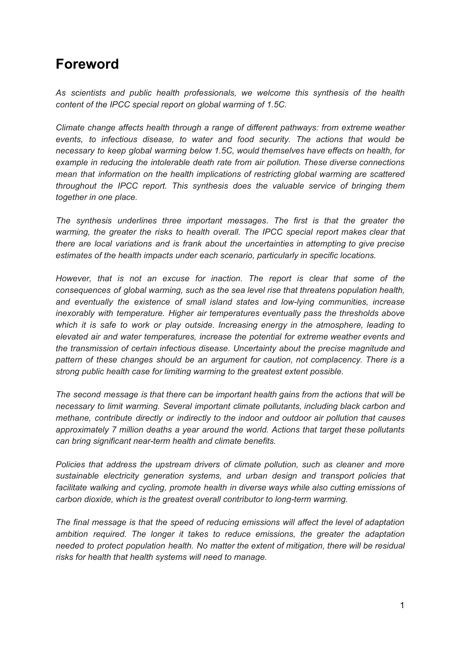### **Foreword**

*As scientists and public health professionals, we welcome this synthesis of the health content of the IPCC special report on global warming of 1.5C.*

*Climate change affects health through a range of different pathways: from extreme weather events, to infectious disease, to water and food security. The actions that would be necessary to keep global warming below 1.5C, would themselves have effects on health, for example in reducing the intolerable death rate from air pollution. These diverse connections mean that information on the health implications of restricting global warming are scattered throughout the IPCC report. This synthesis does the valuable service of bringing them together in one place.*

*The synthesis underlines three important messages. The first is that the greater the warming, the greater the risks to health overall. The IPCC special report makes clear that there are local variations and is frank about the uncertainties in attempting to give precise estimates of the health impacts under each scenario, particularly in specific locations.*

*However, that is not an excuse for inaction. The report is clear that some of the consequences of global warming, such as the sea level rise that threatens population health, and eventually the existence of small island states and low-lying communities, increase inexorably with temperature. Higher air temperatures eventually pass the thresholds above which it is safe to work or play outside. Increasing energy in the atmosphere, leading to elevated air and water temperatures, increase the potential for extreme weather events and the transmission of certain infectious disease. Uncertainty about the precise magnitude and pattern of these changes should be an argument for caution, not complacency. There is a strong public health case for limiting warming to the greatest extent possible.*

*The second message is that there can be important health gains from the actions that will be necessary to limit warming. Several important climate pollutants, including black carbon and methane, contribute directly or indirectly to the indoor and outdoor air pollution that causes approximately 7 million deaths a year around the world. Actions that target these pollutants can bring significant near-term health and climate benefits.*

*Policies that address the upstream drivers of climate pollution, such as cleaner and more sustainable electricity generation systems, and urban design and transport policies that facilitate walking and cycling, promote health in diverse ways while also cutting emissions of carbon dioxide, which is the greatest overall contributor to long-term warming.*

*The final message is that the speed of reducing emissions will affect the level of adaptation ambition required. The longer it takes to reduce emissions, the greater the adaptation needed to protect population health. No matter the extent of mitigation, there will be residual risks for health that health systems will need to manage.*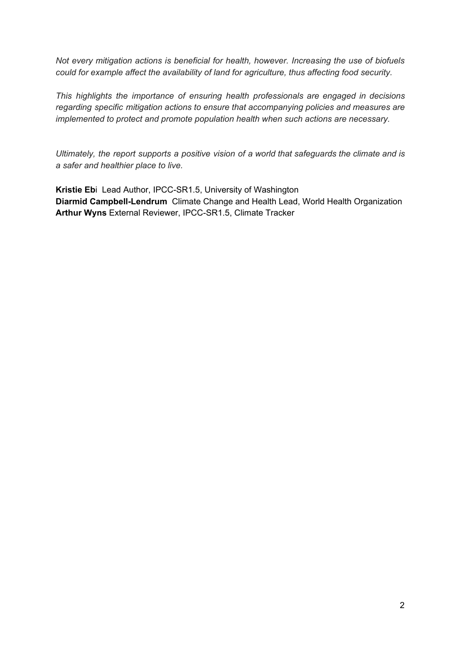*Not every mitigation actions is beneficial for health, however. Increasing the use of biofuels could for example affect the availability of land for agriculture, thus affecting food security.*

*This highlights the importance of ensuring health professionals are engaged in decisions regarding specific mitigation actions to ensure that accompanying policies and measures are implemented to protect and promote population health when such actions are necessary.*

*Ultimately, the report supports a positive vision of a world that safeguards the climate and is a safer and healthier place to live.*

**Kristie Eb**i Lead Author, IPCC-SR1.5, University of Washington **Diarmid Campbell-Lendrum** Climate Change and Health Lead, World Health Organization **Arthur Wyns** External Reviewer, IPCC-SR1.5, Climate Tracker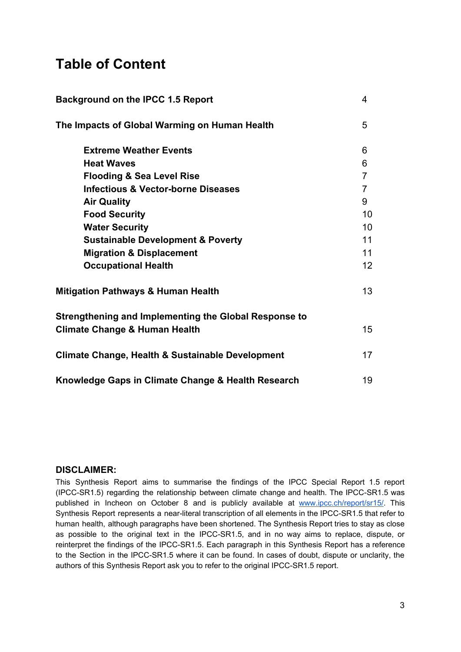## **Table of Content**

| Background on the IPCC 1.5 Report                           | 4              |
|-------------------------------------------------------------|----------------|
| The Impacts of Global Warming on Human Health               | 5              |
| <b>Extreme Weather Events</b>                               | 6              |
| <b>Heat Waves</b>                                           | 6              |
| <b>Flooding &amp; Sea Level Rise</b>                        | $\overline{7}$ |
| <b>Infectious &amp; Vector-borne Diseases</b>               | $\overline{7}$ |
| <b>Air Quality</b>                                          | 9              |
| <b>Food Security</b>                                        | 10             |
| <b>Water Security</b>                                       | 10             |
| <b>Sustainable Development &amp; Poverty</b>                | 11             |
| <b>Migration &amp; Displacement</b>                         | 11             |
| <b>Occupational Health</b>                                  | 12             |
| <b>Mitigation Pathways &amp; Human Health</b>               | 13             |
| Strengthening and Implementing the Global Response to       |                |
| <b>Climate Change &amp; Human Health</b>                    | 15             |
| <b>Climate Change, Health &amp; Sustainable Development</b> | 17             |
| Knowledge Gaps in Climate Change & Health Research          | 19             |

#### **DISCLAIMER:**

This Synthesis Report aims to summarise the findings of the IPCC Special Report 1.5 report (IPCC-SR1.5) regarding the relationship between climate change and health. The IPCC-SR1.5 was published in Incheon on October 8 and is publicly available at [www.ipcc.ch/report/sr15/](http://www.ipcc.ch/report/sr15/). This Synthesis Report represents a near-literal transcription of all elements in the IPCC-SR1.5 that refer to human health, although paragraphs have been shortened. The Synthesis Report tries to stay as close as possible to the original text in the IPCC-SR1.5, and in no way aims to replace, dispute, or reinterpret the findings of the IPCC-SR1.5. Each paragraph in this Synthesis Report has a reference to the Section in the IPCC-SR1.5 where it can be found. In cases of doubt, dispute or unclarity, the authors of this Synthesis Report ask you to refer to the original IPCC-SR1.5 report.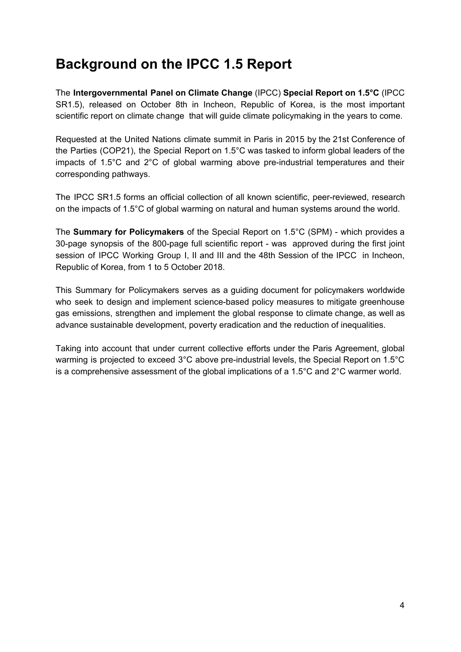## **Background on the IPCC 1.5 Report**

The **Intergovernmental Panel on Climate Change** (IPCC) **Special Report on 1.5°C** (IPCC SR1.5), released on October 8th in Incheon, Republic of Korea, is the most important scientific report on climate change that will guide climate policymaking in the years to come.

Requested at the United Nations climate summit in Paris in 2015 by the 21st Conference of the Parties (COP21), the Special Report on 1.5°C was tasked to inform global leaders of the impacts of 1.5°C and 2°C of global warming above pre-industrial temperatures and their corresponding pathways.

The IPCC SR1.5 forms an official collection of all known scientific, peer-reviewed, research on the impacts of 1.5°C of global warming on natural and human systems around the world.

The **Summary for Policymakers** of the Special Report on 1.5°C (SPM) - which provides a 30-page synopsis of the 800-page full scientific report - was approved during the first joint session of IPCC Working Group I, II and III and the 48th Session of the IPCC in Incheon, Republic of Korea, from 1 to 5 October 2018.

This Summary for Policymakers serves as a guiding document for policymakers worldwide who seek to design and implement science-based policy measures to mitigate greenhouse gas emissions, strengthen and implement the global response to climate change, as well as advance sustainable development, poverty eradication and the reduction of inequalities.

Taking into account that under current collective efforts under the Paris Agreement, global warming is projected to exceed 3°C above pre-industrial levels, the Special Report on 1.5°C is a comprehensive assessment of the global implications of a 1.5°C and 2°C warmer world.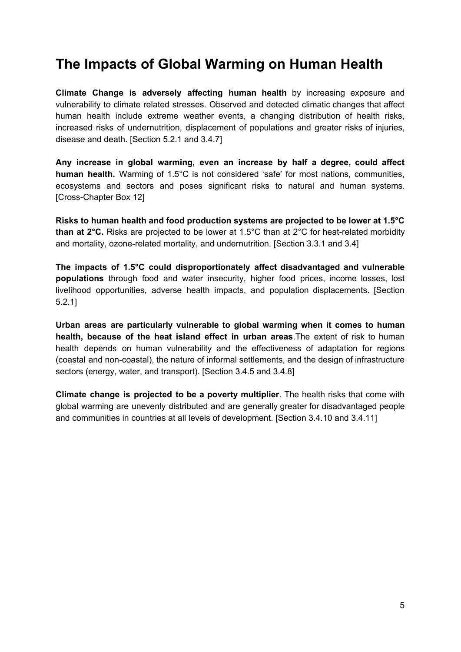## **The Impacts of Global Warming on Human Health**

**Climate Change is adversely affecting human health** by increasing exposure and vulnerability to climate related stresses. Observed and detected climatic changes that affect human health include extreme weather events, a changing distribution of health risks, increased risks of undernutrition, displacement of populations and greater risks of injuries, disease and death. [Section 5.2.1 and 3.4.7]

**Any increase in global warming, even an increase by half a degree, could affect human health.** Warming of 1.5°C is not considered 'safe' for most nations, communities, ecosystems and sectors and poses significant risks to natural and human systems. [Cross-Chapter Box 12]

**Risks to human health and food production systems are projected to be lower at 1.5°C than at 2°C.** Risks are projected to be lower at 1.5°C than at 2°C for heat-related morbidity and mortality, ozone-related mortality, and undernutrition. [Section 3.3.1 and 3.4]

**The impacts of 1.5°C could disproportionately affect disadvantaged and vulnerable populations** through food and water insecurity, higher food prices, income losses, lost livelihood opportunities, adverse health impacts, and population displacements. [Section 5.2.1]

**Urban areas are particularly vulnerable to global warming when it comes to human health, because of the heat island effect in urban areas**.The extent of risk to human health depends on human vulnerability and the effectiveness of adaptation for regions (coastal and non-coastal), the nature of informal settlements, and the design of infrastructure sectors (energy, water, and transport). [Section 3.4.5 and 3.4.8]

**Climate change is projected to be a poverty multiplier**. The health risks that come with global warming are unevenly distributed and are generally greater for disadvantaged people and communities in countries at all levels of development. [Section 3.4.10 and 3.4.11]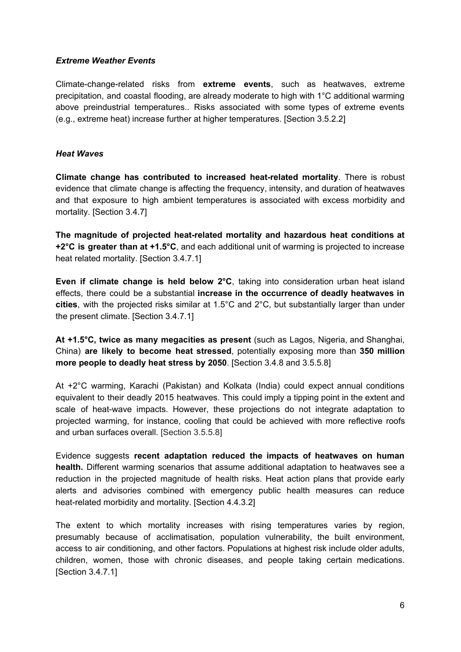#### *Extreme Weather Events*

Climate-change-related risks from **extreme events**, such as heatwaves, extreme precipitation, and coastal flooding, are already moderate to high with 1°C additional warming above preindustrial temperatures.. Risks associated with some types of extreme events (e.g., extreme heat) increase further at higher temperatures. [Section 3.5.2.2]

#### *Heat Waves*

**Climate change has contributed to increased heat-related mortality**. There is robust evidence that climate change is affecting the frequency, intensity, and duration of heatwaves and that exposure to high ambient temperatures is associated with excess morbidity and mortality. [Section 3.4.7]

**The magnitude of projected heat-related mortality and hazardous heat conditions at +2°C is greater than at +1.5°C**, and each additional unit of warming is projected to increase heat related mortality. [Section 3.4.7.1]

**Even if climate change is held below 2°C**, taking into consideration urban heat island effects, there could be a substantial **increase in the occurrence of deadly heatwaves in cities**, with the projected risks similar at 1.5°C and 2°C, but substantially larger than under the present climate. [Section 3.4.7.1]

**At +1.5°C, twice as many megacities as present** (such as Lagos, Nigeria, and Shanghai, China) **are likely to become heat stressed**, potentially exposing more than **350 million more people to deadly heat stress by 2050**. [Section 3.4.8 and 3.5.5.8]

At +2°C warming, Karachi (Pakistan) and Kolkata (India) could expect annual conditions equivalent to their deadly 2015 heatwaves. This could imply a tipping point in the extent and scale of heat-wave impacts. However, these projections do not integrate adaptation to projected warming, for instance, cooling that could be achieved with more reflective roofs and urban surfaces overall. [Section 3.5.5.8]

Evidence suggests **recent adaptation reduced the impacts of heatwaves on human health.** Different warming scenarios that assume additional adaptation to heatwaves see a reduction in the projected magnitude of health risks. Heat action plans that provide early alerts and advisories combined with emergency public health measures can reduce heat-related morbidity and mortality. [Section 4.4.3.2]

The extent to which mortality increases with rising temperatures varies by region, presumably because of acclimatisation, population vulnerability, the built environment, access to air conditioning, and other factors. Populations at highest risk include older adults, children, women, those with chronic diseases, and people taking certain medications. [Section 3.4.7.1]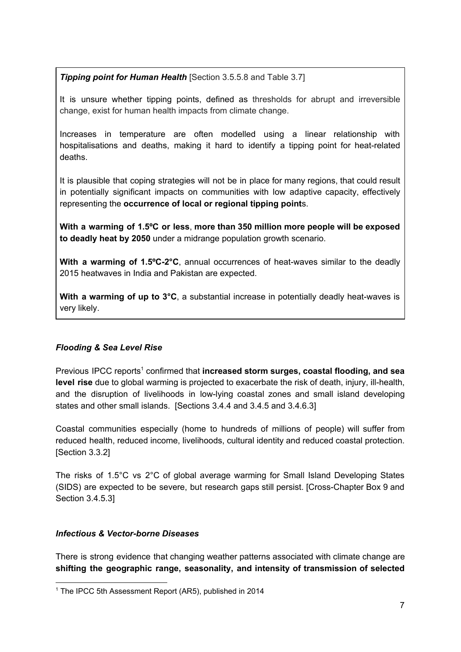*Tipping point for Human Health* [Section 3.5.5.8 and Table 3.7]

It is unsure whether tipping points, defined as thresholds for abrupt and irreversible change, exist for human health impacts from climate change.

Increases in temperature are often modelled using a linear relationship with hospitalisations and deaths, making it hard to identify a tipping point for heat-related deaths.

It is plausible that coping strategies will not be in place for many regions, that could result in potentially significant impacts on communities with low adaptive capacity, effectively representing the **occurrence of local or regional tipping point**s.

**With a warming of 1.5ºC or less**, **more than 350 million more people will be exposed to deadly heat by 2050** under a midrange population growth scenario.

**With a warming of 1.5ºC-2°C**, annual occurrences of heat-waves similar to the deadly 2015 heatwaves in India and Pakistan are expected.

**With a warming of up to 3°C**, a substantial increase in potentially deadly heat-waves is very likely.

#### *Flooding & Sea Level Rise*

Previous IPCC reports<sup>1</sup> confirmed that increased storm surges, coastal flooding, and sea **level rise** due to global warming is projected to exacerbate the risk of death, injury, ill-health, and the disruption of livelihoods in low-lying coastal zones and small island developing states and other small islands. [Sections 3.4.4 and 3.4.5 and 3.4.6.3]

Coastal communities especially (home to hundreds of millions of people) will suffer from reduced health, reduced income, livelihoods, cultural identity and reduced coastal protection. [Section 3.3.2]

The risks of 1.5°C vs 2°C of global average warming for Small Island Developing States (SIDS) are expected to be severe, but research gaps still persist. [Cross-Chapter Box 9 and Section 3.4.5.3]

#### *Infectious & Vector-borne Diseases*

There is strong evidence that changing weather patterns associated with climate change are **shifting the geographic range, seasonality, and intensity of transmission of selected**

<sup>&</sup>lt;sup>1</sup> The IPCC 5th Assessment Report (AR5), published in 2014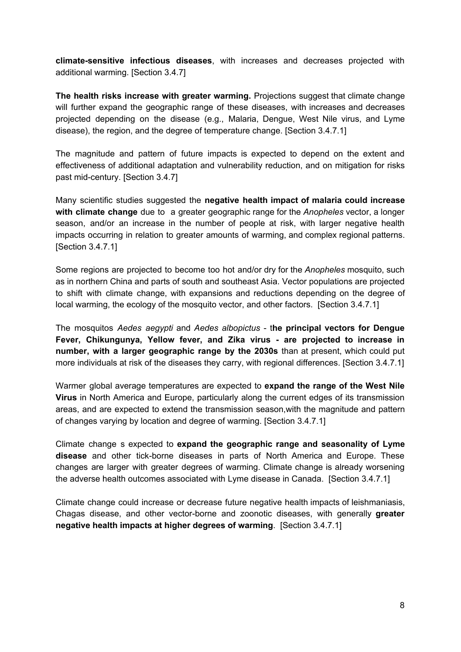**climate-sensitive infectious diseases**, with increases and decreases projected with additional warming. [Section 3.4.7]

**The health risks increase with greater warming.** Projections suggest that climate change will further expand the geographic range of these diseases, with increases and decreases projected depending on the disease (e.g., Malaria, Dengue, West Nile virus, and Lyme disease), the region, and the degree of temperature change. [Section 3.4.7.1]

The magnitude and pattern of future impacts is expected to depend on the extent and effectiveness of additional adaptation and vulnerability reduction, and on mitigation for risks past mid-century. [Section 3.4.7]

Many scientific studies suggested the **negative health impact of malaria could increase with climate change** due to a greater geographic range for the *Anopheles* vector, a longer season, and/or an increase in the number of people at risk, with larger negative health impacts occurring in relation to greater amounts of warming, and complex regional patterns. [Section 3.4.7.1]

Some regions are projected to become too hot and/or dry for the *Anopheles* mosquito, such as in northern China and parts of south and southeast Asia. Vector populations are projected to shift with climate change, with expansions and reductions depending on the degree of local warming, the ecology of the mosquito vector, and other factors. [Section 3.4.7.1]

The mosquitos *Aedes aegypti* and *Aedes albopictus* - t**he principal vectors for Dengue Fever, Chikungunya, Yellow fever, and Zika virus - are projected to increase in number, with a larger geographic range by the 2030s** than at present, which could put more individuals at risk of the diseases they carry, with regional differences. [Section 3.4.7.1]

Warmer global average temperatures are expected to **expand the range of the West Nile Virus** in North America and Europe, particularly along the current edges of its transmission areas, and are expected to extend the transmission season,with the magnitude and pattern of changes varying by location and degree of warming. [Section 3.4.7.1]

Climate change s expected to **expand the geographic range and seasonality of Lyme disease** and other tick-borne diseases in parts of North America and Europe. These changes are larger with greater degrees of warming. Climate change is already worsening the adverse health outcomes associated with Lyme disease in Canada. [Section 3.4.7.1]

Climate change could increase or decrease future negative health impacts of leishmaniasis, Chagas disease, and other vector-borne and zoonotic diseases, with generally **greater negative health impacts at higher degrees of warming**. [Section 3.4.7.1]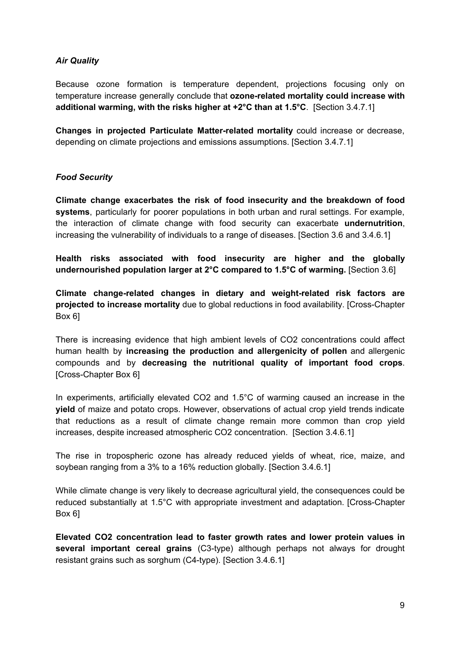#### *Air Quality*

Because ozone formation is temperature dependent, projections focusing only on temperature increase generally conclude that **ozone-related mortality could increase with additional warming, with the risks higher at +2°C than at 1.5°C**. [Section 3.4.7.1]

**Changes in projected Particulate Matter-related mortality** could increase or decrease, depending on climate projections and emissions assumptions. [Section 3.4.7.1]

#### *Food Security*

**Climate change exacerbates the risk of food insecurity and the breakdown of food systems**, particularly for poorer populations in both urban and rural settings. For example, the interaction of climate change with food security can exacerbate **undernutrition**, increasing the vulnerability of individuals to a range of diseases. [Section 3.6 and 3.4.6.1]

**Health risks associated with food insecurity are higher and the globally undernourished population larger at 2°C compared to 1.5°C of warming.** [Section 3.6]

**Climate change-related changes in dietary and weight-related risk factors are projected to increase mortality** due to global reductions in food availability. [Cross-Chapter Box 6]

There is increasing evidence that high ambient levels of CO2 concentrations could affect human health by **increasing the production and allergenicity of pollen** and allergenic compounds and by **decreasing the nutritional quality of important food crops**. [Cross-Chapter Box 6]

In experiments, artificially elevated CO2 and 1.5°C of warming caused an increase in the **yield** of maize and potato crops. However, observations of actual crop yield trends indicate that reductions as a result of climate change remain more common than crop yield increases, despite increased atmospheric CO2 concentration. [Section 3.4.6.1]

The rise in tropospheric ozone has already reduced yields of wheat, rice, maize, and soybean ranging from a 3% to a 16% reduction globally. [Section 3.4.6.1]

While climate change is very likely to decrease agricultural yield, the consequences could be reduced substantially at 1.5°C with appropriate investment and adaptation. [Cross-Chapter Box 6]

**Elevated CO2 concentration lead to faster growth rates and lower protein values in several important cereal grains** (C3-type) although perhaps not always for drought resistant grains such as sorghum (C4-type). [Section 3.4.6.1]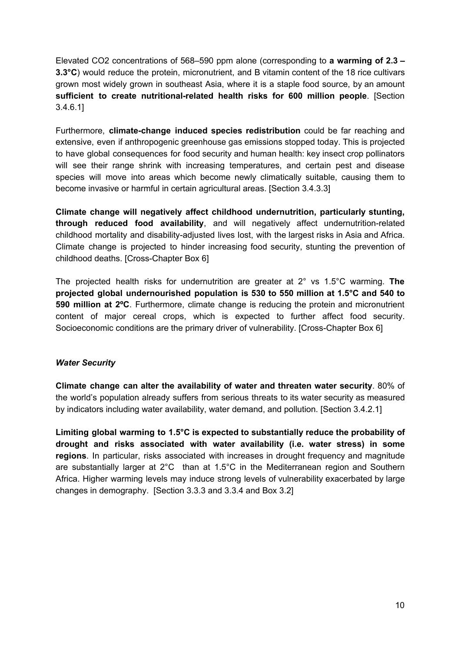Elevated CO2 concentrations of 568–590 ppm alone (corresponding to **a warming of 2.3 – 3.3°C**) would reduce the protein, micronutrient, and B vitamin content of the 18 rice cultivars grown most widely grown in southeast Asia, where it is a staple food source, by an amount **sufficient to create nutritional-related health risks for 600 million people**. [Section 3.4.6.1]

Furthermore, **climate-change induced species redistribution** could be far reaching and extensive, even if anthropogenic greenhouse gas emissions stopped today. This is projected to have global consequences for food security and human health: key insect crop pollinators will see their range shrink with increasing temperatures, and certain pest and disease species will move into areas which become newly climatically suitable, causing them to become invasive or harmful in certain agricultural areas. [Section 3.4.3.3]

**Climate change will negatively affect childhood undernutrition, particularly stunting, through reduced food availability**, and will negatively affect undernutrition-related childhood mortality and disability-adjusted lives lost, with the largest risks in Asia and Africa. Climate change is projected to hinder increasing food security, stunting the prevention of childhood deaths. [Cross-Chapter Box 6]

The projected health risks for undernutrition are greater at 2° vs 1.5°C warming. **The projected global undernourished population is 530 to 550 million at 1.5°C and 540 to 590 million at 2ºC**. Furthermore, climate change is reducing the protein and micronutrient content of major cereal crops, which is expected to further affect food security. Socioeconomic conditions are the primary driver of vulnerability. [Cross-Chapter Box 6]

#### *Water Security*

**Climate change can alter the availability of water and threaten water security**. 80% of the world's population already suffers from serious threats to its water security as measured by indicators including water availability, water demand, and pollution. [Section 3.4.2.1]

**Limiting global warming to 1.5°C is expected to substantially reduce the probability of drought and risks associated with water availability (i.e. water stress) in some regions**. In particular, risks associated with increases in drought frequency and magnitude are substantially larger at 2°C than at 1.5°C in the Mediterranean region and Southern Africa. Higher warming levels may induce strong levels of vulnerability exacerbated by large changes in demography. [Section 3.3.3 and 3.3.4 and Box 3.2]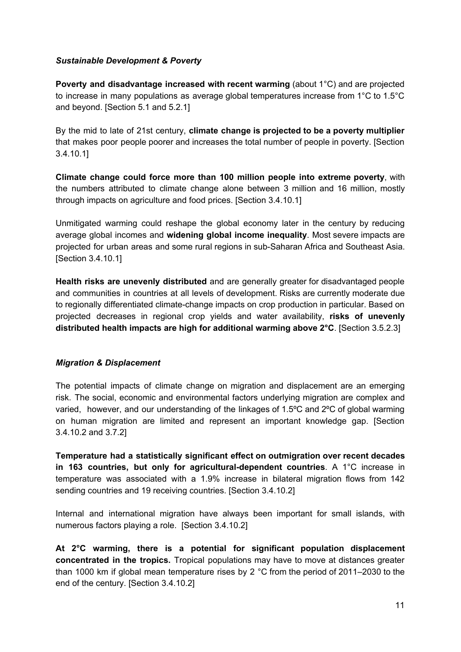#### *Sustainable Development & Poverty*

**Poverty and disadvantage increased with recent warming** (about 1°C) and are projected to increase in many populations as average global temperatures increase from 1°C to 1.5°C and beyond. [Section 5.1 and 5.2.1]

By the mid to late of 21st century, **climate change is projected to be a poverty multiplier** that makes poor people poorer and increases the total number of people in poverty. [Section 3.4.10.1]

**Climate change could force more than 100 million people into extreme poverty**, with the numbers attributed to climate change alone between 3 million and 16 million, mostly through impacts on agriculture and food prices. [Section 3.4.10.1]

Unmitigated warming could reshape the global economy later in the century by reducing average global incomes and **widening global income inequality**. Most severe impacts are projected for urban areas and some rural regions in sub-Saharan Africa and Southeast Asia. [Section 3.4.10.1]

**Health risks are unevenly distributed** and are generally greater for disadvantaged people and communities in countries at all levels of development. Risks are currently moderate due to regionally differentiated climate-change impacts on crop production in particular. Based on projected decreases in regional crop yields and water availability, **risks of unevenly distributed health impacts are high for additional warming above 2°C**. [Section 3.5.2.3]

#### *Migration & Displacement*

The potential impacts of climate change on migration and displacement are an emerging risk. The social, economic and environmental factors underlying migration are complex and varied, however, and our understanding of the linkages of 1.5ºC and 2ºC of global warming on human migration are limited and represent an important knowledge gap. [Section 3.4.10.2 and 3.7.2]

**Temperature had a statistically significant effect on outmigration over recent decades in 163 countries, but only for agricultural-dependent countries**. A 1°C increase in temperature was associated with a 1.9% increase in bilateral migration flows from 142 sending countries and 19 receiving countries. [Section 3.4.10.2]

Internal and international migration have always been important for small islands, with numerous factors playing a role. [Section 3.4.10.2]

**At 2°C warming, there is a potential for significant population displacement concentrated in the tropics.** Tropical populations may have to move at distances greater than 1000 km if global mean temperature rises by 2 °C from the period of 2011–2030 to the end of the century. [Section 3.4.10.2]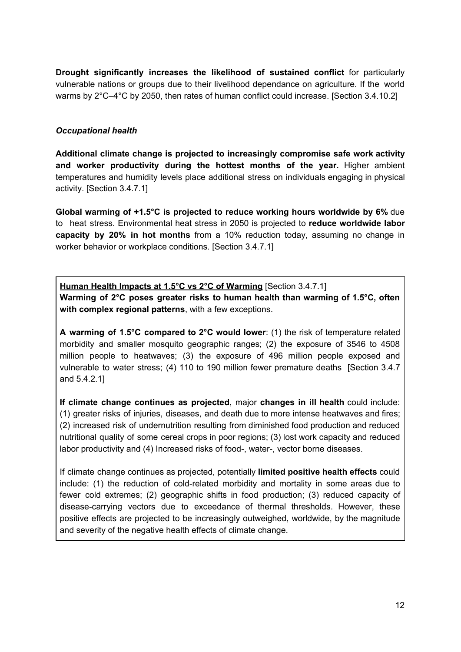**Drought significantly increases the likelihood of sustained conflict** for particularly vulnerable nations or groups due to their livelihood dependance on agriculture. If the world warms by 2°C–4°C by 2050, then rates of human conflict could increase. [Section 3.4.10.2]

#### *Occupational health*

**Additional climate change is projected to increasingly compromise safe work activity and worker productivity during the hottest months of the year.** Higher ambient temperatures and humidity levels place additional stress on individuals engaging in physical activity. [Section 3.4.7.1]

**Global warming of +1.5°C is projected to reduce working hours worldwide by 6%** due to heat stress. Environmental heat stress in 2050 is projected to **reduce worldwide labor capacity by 20% in hot months** from a 10% reduction today, assuming no change in worker behavior or workplace conditions. [Section 3.4.7.1]

**Human Health Impacts at 1.5°C vs 2°C of Warming** [Section 3.4.7.1] **Warming of 2°C poses greater risks to human health than warming of 1.5°C, often with complex regional patterns**, with a few exceptions.

**A warming of 1.5°C compared to 2°C would lower**: (1) the risk of temperature related morbidity and smaller mosquito geographic ranges; (2) the exposure of 3546 to 4508 million people to heatwaves; (3) the exposure of 496 million people exposed and vulnerable to water stress; (4) 110 to 190 million fewer premature deaths [Section 3.4.7 and 5.4.2.1]

**If climate change continues as projected**, major **changes in ill health** could include: (1) greater risks of injuries, diseases, and death due to more intense heatwaves and fires; (2) increased risk of undernutrition resulting from diminished food production and reduced nutritional quality of some cereal crops in poor regions; (3) lost work capacity and reduced labor productivity and (4) Increased risks of food-, water-, vector borne diseases.

If climate change continues as projected, potentially **limited positive health effects** could include: (1) the reduction of cold-related morbidity and mortality in some areas due to fewer cold extremes; (2) geographic shifts in food production; (3) reduced capacity of disease-carrying vectors due to exceedance of thermal thresholds. However, these positive effects are projected to be increasingly outweighed, worldwide, by the magnitude and severity of the negative health effects of climate change.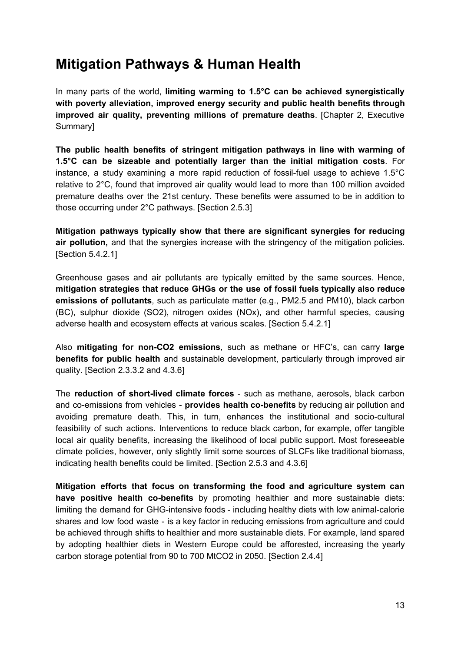## **Mitigation Pathways & Human Health**

In many parts of the world, **limiting warming to 1.5°C can be achieved synergistically with poverty alleviation, improved energy security and public health benefits through improved air quality, preventing millions of premature deaths**. [Chapter 2, Executive Summary]

**The public health benefits of stringent mitigation pathways in line with warming of 1.5°C can be sizeable and potentially larger than the initial mitigation costs**. For instance, a study examining a more rapid reduction of fossil-fuel usage to achieve 1.5°C relative to 2°C, found that improved air quality would lead to more than 100 million avoided premature deaths over the 21st century. These benefits were assumed to be in addition to those occurring under 2°C pathways. [Section 2.5.3]

**Mitigation pathways typically show that there are significant synergies for reducing air pollution,** and that the synergies increase with the stringency of the mitigation policies. [Section 5.4.2.1]

Greenhouse gases and air pollutants are typically emitted by the same sources. Hence, **mitigation strategies that reduce GHGs or the use of fossil fuels typically also reduce emissions of pollutants**, such as particulate matter (e.g., PM2.5 and PM10), black carbon (BC), sulphur dioxide (SO2), nitrogen oxides (NOx), and other harmful species, causing adverse health and ecosystem effects at various scales. [Section 5.4.2.1]

Also **mitigating for non-CO2 emissions**, such as methane or HFC's, can carry **large benefits for public health** and sustainable development, particularly through improved air quality. [Section 2.3.3.2 and 4.3.6]

The **reduction of short-lived climate forces** - such as methane, aerosols, black carbon and co-emissions from vehicles - **provides health co-benefits** by reducing air pollution and avoiding premature death. This, in turn, enhances the institutional and socio-cultural feasibility of such actions. Interventions to reduce black carbon, for example, offer tangible local air quality benefits, increasing the likelihood of local public support. Most foreseeable climate policies, however, only slightly limit some sources of SLCFs like traditional biomass, indicating health benefits could be limited. [Section 2.5.3 and 4.3.6]

**Mitigation efforts that focus on transforming the food and agriculture system can have positive health co-benefits** by promoting healthier and more sustainable diets: limiting the demand for GHG-intensive foods - including healthy diets with low animal-calorie shares and low food waste - is a key factor in reducing emissions from agriculture and could be achieved through shifts to healthier and more sustainable diets. For example, land spared by adopting healthier diets in Western Europe could be afforested, increasing the yearly carbon storage potential from 90 to 700 MtCO2 in 2050. [Section 2.4.4]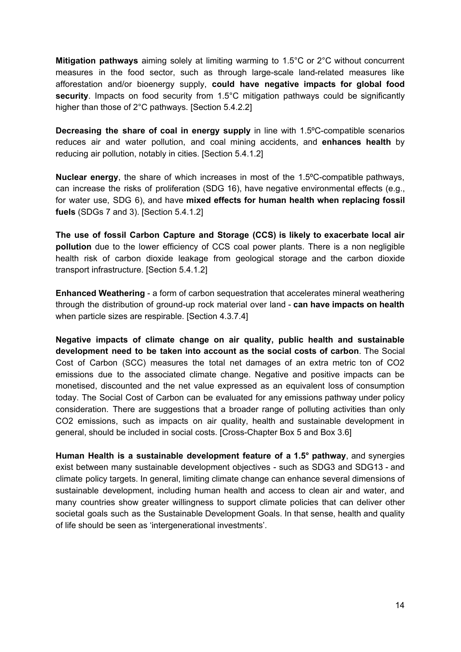**Mitigation pathways** aiming solely at limiting warming to 1.5°C or 2°C without concurrent measures in the food sector, such as through large-scale land-related measures like afforestation and/or bioenergy supply, **could have negative impacts for global food security**. Impacts on food security from 1.5°C mitigation pathways could be significantly higher than those of 2°C pathways. [Section 5.4.2.2]

**Decreasing the share of coal in energy supply** in line with 1.5ºC-compatible scenarios reduces air and water pollution, and coal mining accidents, and **enhances health** by reducing air pollution, notably in cities. [Section 5.4.1.2]

**Nuclear energy**, the share of which increases in most of the 1.5ºC-compatible pathways, can increase the risks of proliferation (SDG 16), have negative environmental effects (e.g., for water use, SDG 6), and have **mixed effects for human health when replacing fossil fuels** (SDGs 7 and 3). [Section 5.4.1.2]

**The use of fossil Carbon Capture and Storage (CCS) is likely to exacerbate local air pollution** due to the lower efficiency of CCS coal power plants. There is a non negligible health risk of carbon dioxide leakage from geological storage and the carbon dioxide transport infrastructure. [Section 5.4.1.2]

**Enhanced Weathering** - a form of carbon sequestration that accelerates mineral weathering through the distribution of ground-up rock material over land - **can have impacts on health** when particle sizes are respirable. [Section 4.3.7.4]

**Negative impacts of climate change on air quality, public health and sustainable development need to be taken into account as the social costs of carbon**. The Social Cost of Carbon (SCC) measures the total net damages of an extra metric ton of CO2 emissions due to the associated climate change. Negative and positive impacts can be monetised, discounted and the net value expressed as an equivalent loss of consumption today. The Social Cost of Carbon can be evaluated for any emissions pathway under policy consideration. There are suggestions that a broader range of polluting activities than only CO2 emissions, such as impacts on air quality, health and sustainable development in general, should be included in social costs. [Cross-Chapter Box 5 and Box 3.6]

**Human Health is a sustainable development feature of a 1.5° pathway**, and synergies exist between many sustainable development objectives - such as SDG3 and SDG13 - and climate policy targets. In general, limiting climate change can enhance several dimensions of sustainable development, including human health and access to clean air and water, and many countries show greater willingness to support climate policies that can deliver other societal goals such as the Sustainable Development Goals. In that sense, health and quality of life should be seen as 'intergenerational investments'.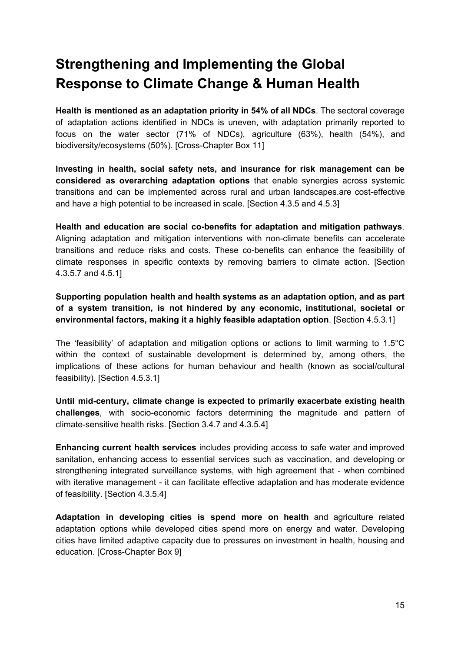## **Strengthening and Implementing the Global Response to Climate Change & Human Health**

**Health is mentioned as an adaptation priority in 54% of all NDCs**. The sectoral coverage of adaptation actions identified in NDCs is uneven, with adaptation primarily reported to focus on the water sector (71% of NDCs), agriculture (63%), health (54%), and biodiversity/ecosystems (50%). [Cross-Chapter Box 11]

**Investing in health, social safety nets, and insurance for risk management can be considered as overarching adaptation options** that enable synergies across systemic transitions and can be implemented across rural and urban landscapes.are cost-effective and have a high potential to be increased in scale. [Section 4.3.5 and 4.5.3]

**Health and education are social co-benefits for adaptation and mitigation pathways**. Aligning adaptation and mitigation interventions with non-climate benefits can accelerate transitions and reduce risks and costs. These co-benefits can enhance the feasibility of climate responses in specific contexts by removing barriers to climate action. [Section 4.3.5.7 and 4.5.1]

**Supporting population health and health systems as an adaptation option, and as part of a system transition, is not hindered by any economic, institutional, societal or environmental factors, making it a highly feasible adaptation option**. [Section 4.5.3.1]

The 'feasibility' of adaptation and mitigation options or actions to limit warming to 1.5°C within the context of sustainable development is determined by, among others, the implications of these actions for human behaviour and health (known as social/cultural feasibility). [Section 4.5.3.1]

**Until mid-century, climate change is expected to primarily exacerbate existing health challenges**, with socio-economic factors determining the magnitude and pattern of climate-sensitive health risks. [Section 3.4.7 and 4.3.5.4]

**Enhancing current health services** includes providing access to safe water and improved sanitation, enhancing access to essential services such as vaccination, and developing or strengthening integrated surveillance systems, with high agreement that - when combined with iterative management - it can facilitate effective adaptation and has moderate evidence of feasibility. [Section 4.3.5.4]

**Adaptation in developing cities is spend more on health** and agriculture related adaptation options while developed cities spend more on energy and water. Developing cities have limited adaptive capacity due to pressures on investment in health, housing and education. [Cross-Chapter Box 9]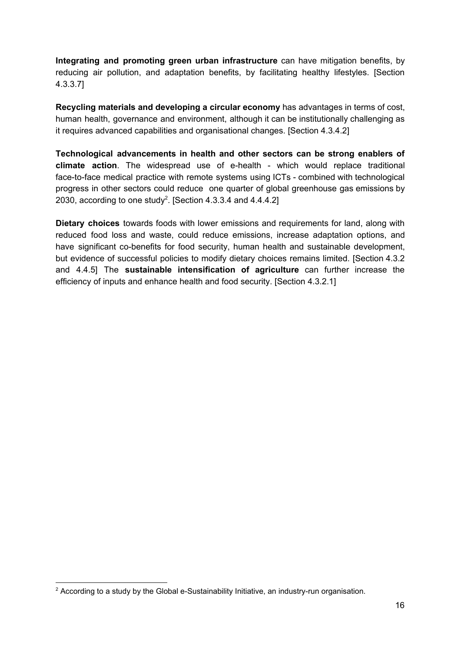**Integrating and promoting green urban infrastructure** can have mitigation benefits, by reducing air pollution, and adaptation benefits, by facilitating healthy lifestyles. [Section 4.3.3.7]

**Recycling materials and developing a circular economy** has advantages in terms of cost, human health, governance and environment, although it can be institutionally challenging as it requires advanced capabilities and organisational changes. [Section 4.3.4.2]

**Technological advancements in health and other sectors can be strong enablers of climate action**. The widespread use of e-health - which would replace traditional face-to-face medical practice with remote systems using ICTs - combined with technological progress in other sectors could reduce one quarter of global greenhouse gas emissions by 2030, according to one study<sup>2</sup>. [Section 4.3.3.4 and 4.4.4.2]

**Dietary choices** towards foods with lower emissions and requirements for land, along with reduced food loss and waste, could reduce emissions, increase adaptation options, and have significant co-benefits for food security, human health and sustainable development, but evidence of successful policies to modify dietary choices remains limited. [Section 4.3.2 and 4.4.5] The **sustainable intensification of agriculture** can further increase the efficiency of inputs and enhance health and food security. [Section 4.3.2.1]

 $2$  According to a study by the Global e-Sustainability Initiative, an industry-run organisation.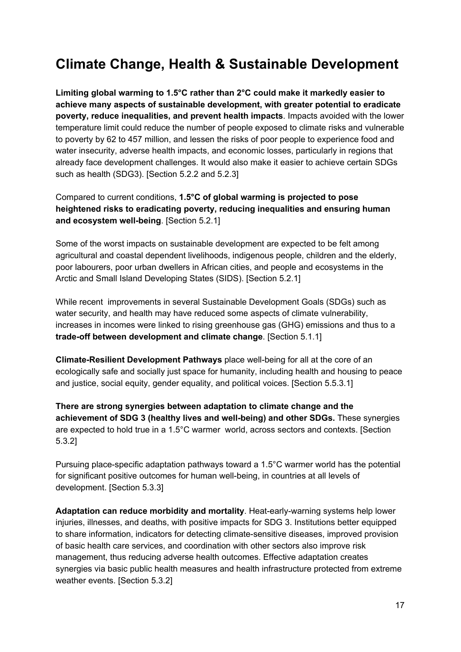## **Climate Change, Health & Sustainable Development**

**Limiting global warming to 1.5°C rather than 2°C could make it markedly easier to achieve many aspects of sustainable development, with greater potential to eradicate poverty, reduce inequalities, and prevent health impacts**. Impacts avoided with the lower temperature limit could reduce the number of people exposed to climate risks and vulnerable to poverty by 62 to 457 million, and lessen the risks of poor people to experience food and water insecurity, adverse health impacts, and economic losses, particularly in regions that already face development challenges. It would also make it easier to achieve certain SDGs such as health (SDG3). [Section 5.2.2 and 5.2.3]

Compared to current conditions, **1.5°C of global warming is projected to pose heightened risks to eradicating poverty, reducing inequalities and ensuring human and ecosystem well-being**. [Section 5.2.1]

Some of the worst impacts on sustainable development are expected to be felt among agricultural and coastal dependent livelihoods, indigenous people, children and the elderly, poor labourers, poor urban dwellers in African cities, and people and ecosystems in the Arctic and Small Island Developing States (SIDS). [Section 5.2.1]

While recent improvements in several Sustainable Development Goals (SDGs) such as water security, and health may have reduced some aspects of climate vulnerability, increases in incomes were linked to rising greenhouse gas (GHG) emissions and thus to a **trade-off between development and climate change**. [Section 5.1.1]

**Climate-Resilient Development Pathways** place well-being for all at the core of an ecologically safe and socially just space for humanity, including health and housing to peace and justice, social equity, gender equality, and political voices. [Section 5.5.3.1]

**There are strong synergies between adaptation to climate change and the achievement of SDG 3 (healthy lives and well-being) and other SDGs.** These synergies are expected to hold true in a 1.5°C warmer world, across sectors and contexts. [Section 5.3.2]

Pursuing place-specific adaptation pathways toward a 1.5°C warmer world has the potential for significant positive outcomes for human well-being, in countries at all levels of development. [Section 5.3.3]

**Adaptation can reduce morbidity and mortality**. Heat-early-warning systems help lower injuries, illnesses, and deaths, with positive impacts for SDG 3. Institutions better equipped to share information, indicators for detecting climate-sensitive diseases, improved provision of basic health care services, and coordination with other sectors also improve risk management, thus reducing adverse health outcomes. Effective adaptation creates synergies via basic public health measures and health infrastructure protected from extreme weather events. [Section 5.3.2]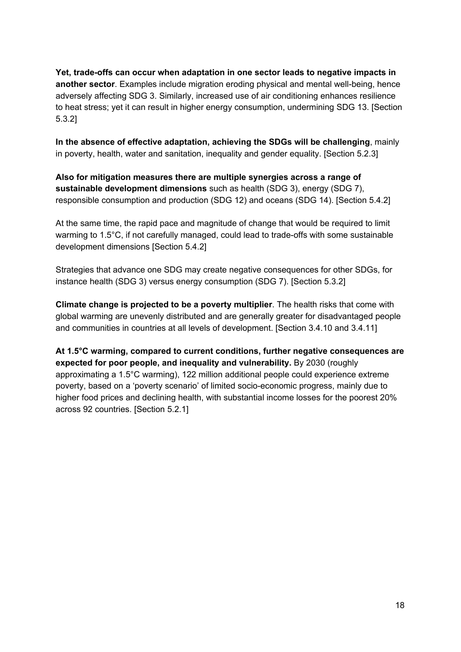**Yet, trade-offs can occur when adaptation in one sector leads to negative impacts in another sector**. Examples include migration eroding physical and mental well-being, hence adversely affecting SDG 3. Similarly, increased use of air conditioning enhances resilience to heat stress; yet it can result in higher energy consumption, undermining SDG 13. [Section 5.3.2]

**In the absence of effective adaptation, achieving the SDGs will be challenging**, mainly in poverty, health, water and sanitation, inequality and gender equality. [Section 5.2.3]

**Also for mitigation measures there are multiple synergies across a range of sustainable development dimensions** such as health (SDG 3), energy (SDG 7), responsible consumption and production (SDG 12) and oceans (SDG 14). [Section 5.4.2]

At the same time, the rapid pace and magnitude of change that would be required to limit warming to 1.5°C, if not carefully managed, could lead to trade-offs with some sustainable development dimensions [Section 5.4.2]

Strategies that advance one SDG may create negative consequences for other SDGs, for instance health (SDG 3) versus energy consumption (SDG 7). [Section 5.3.2]

**Climate change is projected to be a poverty multiplier**. The health risks that come with global warming are unevenly distributed and are generally greater for disadvantaged people and communities in countries at all levels of development. [Section 3.4.10 and 3.4.11]

**At 1.5°C warming, compared to current conditions, further negative consequences are expected for poor people, and inequality and vulnerability.** By 2030 (roughly approximating a 1.5°C warming), 122 million additional people could experience extreme poverty, based on a 'poverty scenario' of limited socio-economic progress, mainly due to higher food prices and declining health, with substantial income losses for the poorest 20% across 92 countries. [Section 5.2.1]